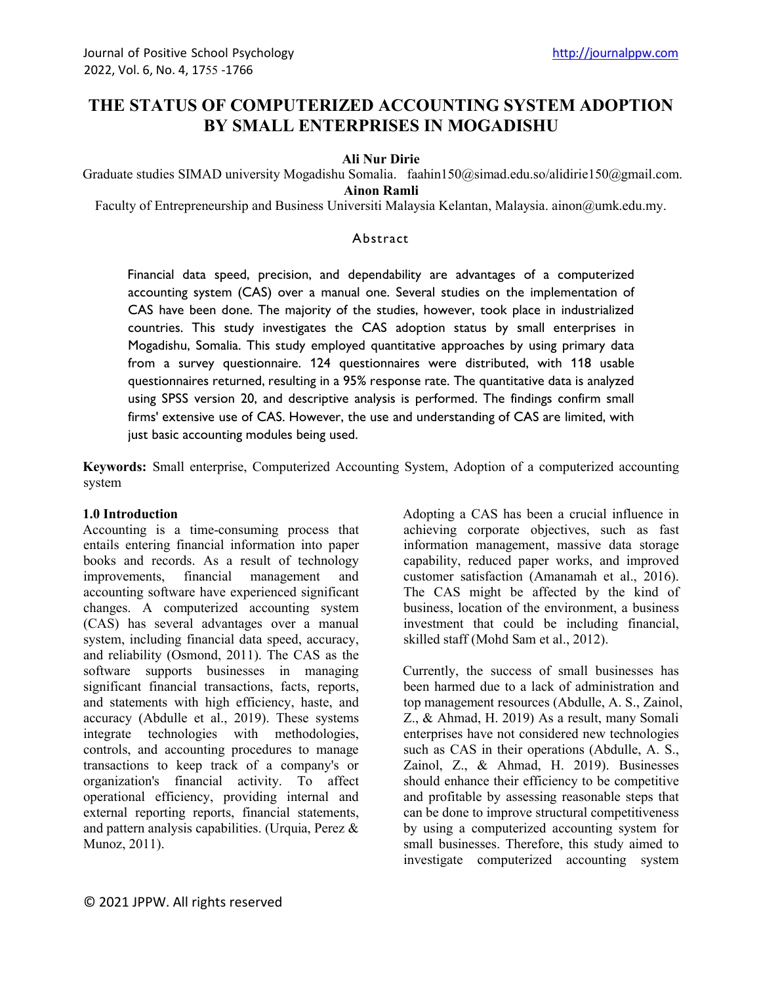# **THE STATUS OF COMPUTERIZED ACCOUNTING SYSTEM ADOPTION BY SMALL ENTERPRISES IN MOGADISHU**

#### **Ali Nur Dirie**

Graduate studies SIMAD university Mogadishu Somalia. faahin150@simad.edu.so/alidirie150@gmail.com. **Ainon Ramli**

Faculty of Entrepreneurship and Business Universiti Malaysia Kelantan, Malaysia. ainon@umk.edu.my.

### Abstract

Financial data speed, precision, and dependability are advantages of a computerized accounting system (CAS) over a manual one. Several studies on the implementation of CAS have been done. The majority of the studies, however, took place in industrialized countries. This study investigates the CAS adoption status by small enterprises in Mogadishu, Somalia. This study employed quantitative approaches by using primary data from a survey questionnaire. 124 questionnaires were distributed, with 118 usable questionnaires returned, resulting in a 95% response rate. The quantitative data is analyzed using SPSS version 20, and descriptive analysis is performed. The findings confirm small firms' extensive use of CAS. However, the use and understanding of CAS are limited, with just basic accounting modules being used.

**Keywords:** Small enterprise, Computerized Accounting System, Adoption of a computerized accounting system

### **1.0 Introduction**

Accounting is a time-consuming process that entails entering financial information into paper books and records. As a result of technology improvements, financial management and accounting software have experienced significant changes. A computerized accounting system (CAS) has several advantages over a manual system, including financial data speed, accuracy, and reliability (Osmond, 2011). The CAS as the software supports businesses in managing significant financial transactions, facts, reports, and statements with high efficiency, haste, and accuracy (Abdulle et al., 2019). These systems integrate technologies with methodologies, controls, and accounting procedures to manage transactions to keep track of a company's or organization's financial activity. To affect operational efficiency, providing internal and external reporting reports, financial statements, and pattern analysis capabilities. (Urquia, Perez & Munoz, 2011).

Adopting a CAS has been a crucial influence in achieving corporate objectives, such as fast information management, massive data storage capability, reduced paper works, and improved customer satisfaction (Amanamah et al., 2016). The CAS might be affected by the kind of business, location of the environment, a business investment that could be including financial, skilled staff (Mohd Sam et al., 2012).

Currently, the success of small businesses has been harmed due to a lack of administration and top management resources (Abdulle, A. S., Zainol, Z., & Ahmad, H. 2019) As a result, many Somali enterprises have not considered new technologies such as CAS in their operations (Abdulle, A. S., Zainol, Z., & Ahmad, H. 2019). Businesses should enhance their efficiency to be competitive and profitable by assessing reasonable steps that can be done to improve structural competitiveness by using a computerized accounting system for small businesses. Therefore, this study aimed to investigate computerized accounting system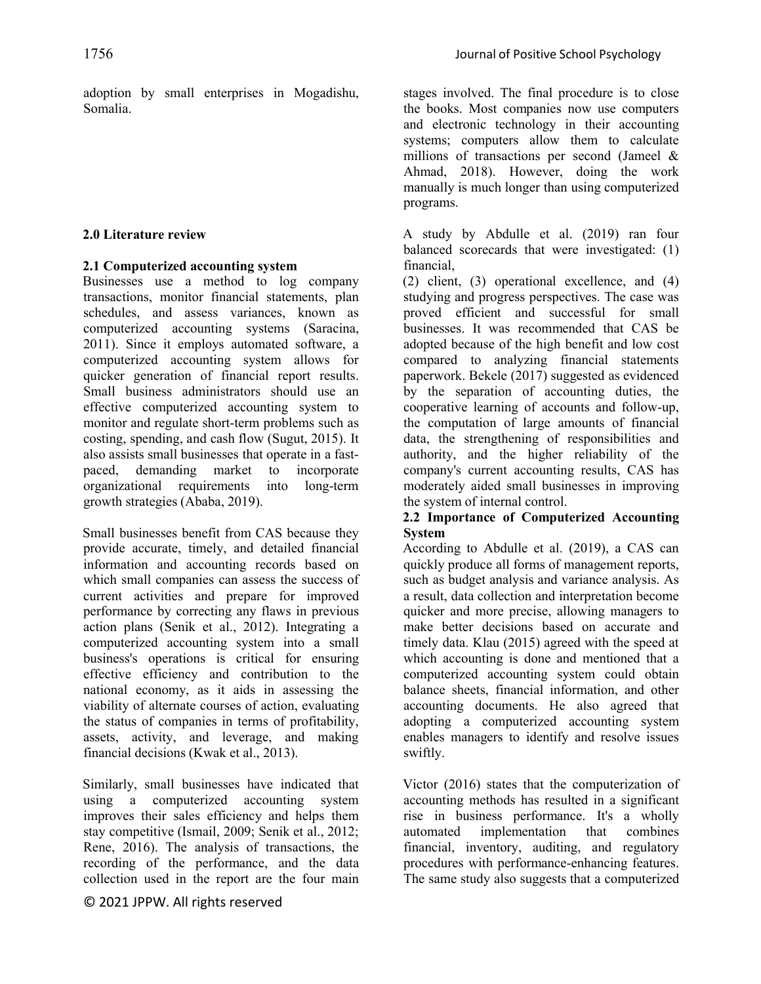adoption by small enterprises in Mogadishu, Somalia.

#### **2.0 Literature review**

### **2.1 Computerized accounting system**

Businesses use a method to log company transactions, monitor financial statements, plan schedules, and assess variances, known as computerized accounting systems (Saracina, 2011). Since it employs automated software, a computerized accounting system allows for quicker generation of financial report results. Small business administrators should use an effective computerized accounting system to monitor and regulate short-term problems such as costing, spending, and cash flow (Sugut, 2015). It also assists small businesses that operate in a fastpaced, demanding market to incorporate organizational requirements into long-term growth strategies (Ababa, 2019).

Small businesses benefit from CAS because they provide accurate, timely, and detailed financial information and accounting records based on which small companies can assess the success of current activities and prepare for improved performance by correcting any flaws in previous action plans (Senik et al., 2012). Integrating a computerized accounting system into a small business's operations is critical for ensuring effective efficiency and contribution to the national economy, as it aids in assessing the viability of alternate courses of action, evaluating the status of companies in terms of profitability, assets, activity, and leverage, and making financial decisions (Kwak et al., 2013).

Similarly, small businesses have indicated that using a computerized accounting system improves their sales efficiency and helps them stay competitive (Ismail, 2009; Senik et al., 2012; Rene, 2016). The analysis of transactions, the recording of the performance, and the data collection used in the report are the four main

© 2021 JPPW. All rights reserved

stages involved. The final procedure is to close the books. Most companies now use computers and electronic technology in their accounting systems; computers allow them to calculate millions of transactions per second (Jameel & Ahmad, 2018). However, doing the work manually is much longer than using computerized programs.

A study by Abdulle et al. (2019) ran four balanced scorecards that were investigated: (1) financial,

(2) client, (3) operational excellence, and (4) studying and progress perspectives. The case was proved efficient and successful for small businesses. It was recommended that CAS be adopted because of the high benefit and low cost compared to analyzing financial statements paperwork. Bekele (2017) suggested as evidenced by the separation of accounting duties, the cooperative learning of accounts and follow-up, the computation of large amounts of financial data, the strengthening of responsibilities and authority, and the higher reliability of the company's current accounting results, CAS has moderately aided small businesses in improving the system of internal control.

### **2.2 Importance of Computerized Accounting System**

According to Abdulle et al. (2019), a CAS can quickly produce all forms of management reports, such as budget analysis and variance analysis. As a result, data collection and interpretation become quicker and more precise, allowing managers to make better decisions based on accurate and timely data. Klau (2015) agreed with the speed at which accounting is done and mentioned that a computerized accounting system could obtain balance sheets, financial information, and other accounting documents. He also agreed that adopting a computerized accounting system enables managers to identify and resolve issues swiftly.

Victor (2016) states that the computerization of accounting methods has resulted in a significant rise in business performance. It's a wholly automated implementation that combines financial, inventory, auditing, and regulatory procedures with performance-enhancing features. The same study also suggests that a computerized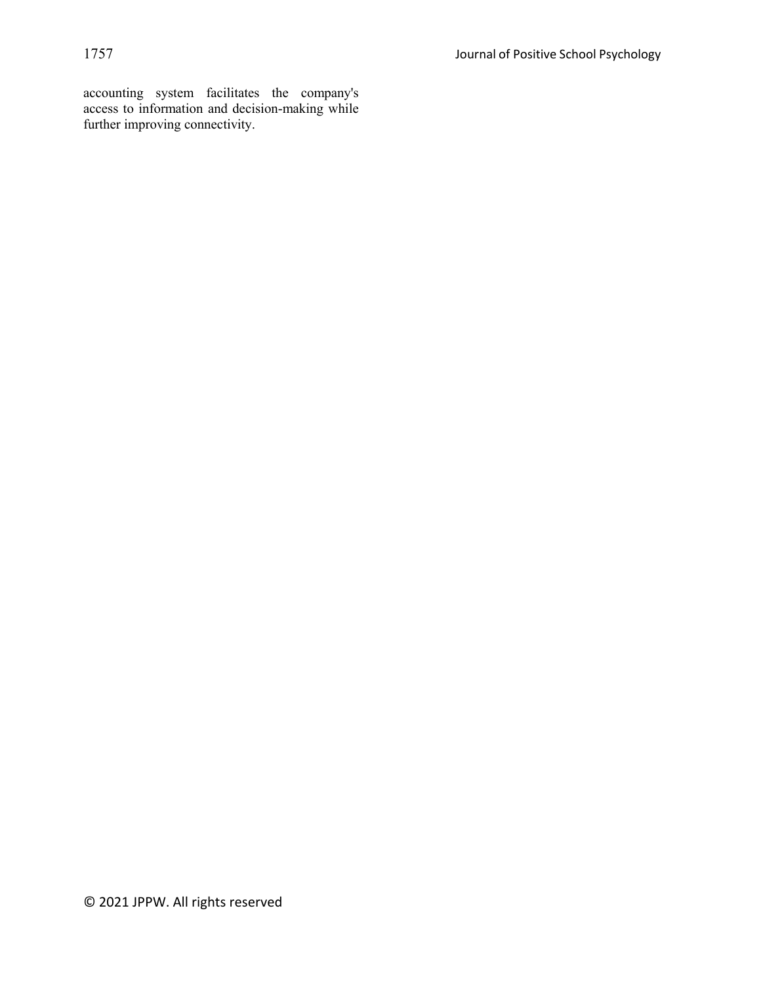accounting system facilitates the company's access to information and decision-making while further improving connectivity.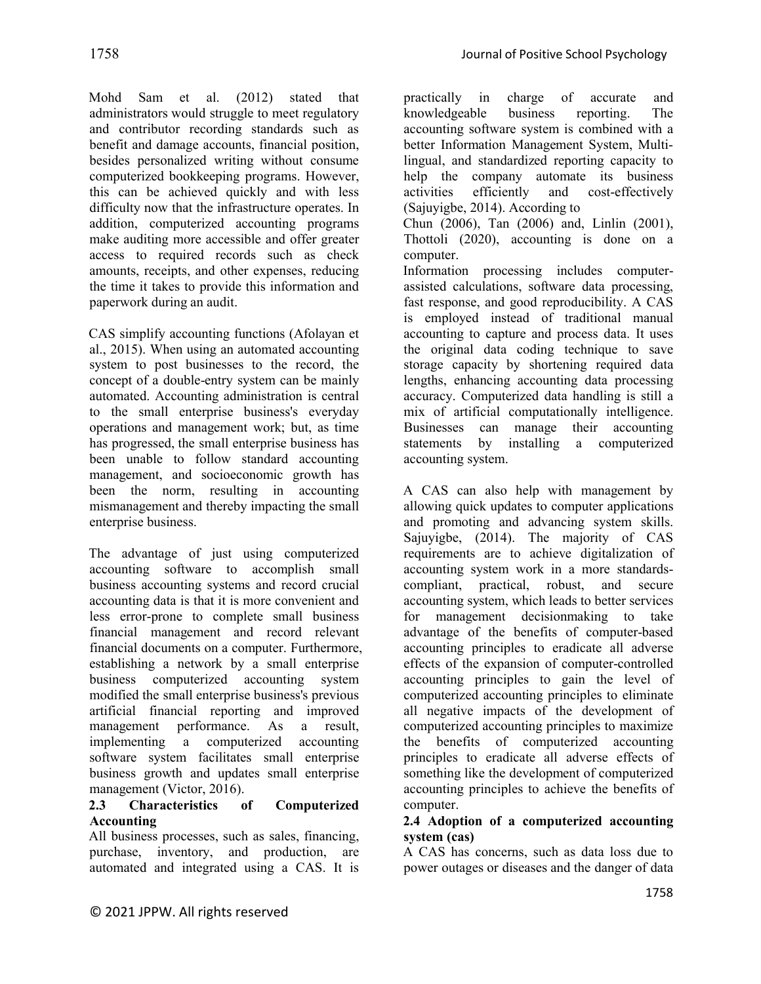Mohd Sam et al. (2012) stated that administrators would struggle to meet regulatory and contributor recording standards such as benefit and damage accounts, financial position, besides personalized writing without consume computerized bookkeeping programs. However, this can be achieved quickly and with less difficulty now that the infrastructure operates. In addition, computerized accounting programs make auditing more accessible and offer greater access to required records such as check amounts, receipts, and other expenses, reducing the time it takes to provide this information and paperwork during an audit.

CAS simplify accounting functions (Afolayan et al., 2015). When using an automated accounting system to post businesses to the record, the concept of a double-entry system can be mainly automated. Accounting administration is central to the small enterprise business's everyday operations and management work; but, as time has progressed, the small enterprise business has been unable to follow standard accounting management, and socioeconomic growth has been the norm, resulting in accounting mismanagement and thereby impacting the small enterprise business.

The advantage of just using computerized accounting software to accomplish small business accounting systems and record crucial accounting data is that it is more convenient and less error-prone to complete small business financial management and record relevant financial documents on a computer. Furthermore, establishing a network by a small enterprise business computerized accounting system modified the small enterprise business's previous artificial financial reporting and improved management performance. As a result, implementing a computerized accounting software system facilitates small enterprise business growth and updates small enterprise management (Victor, 2016).

### **2.3 Characteristics of Computerized Accounting**

All business processes, such as sales, financing, purchase, inventory, and production, are automated and integrated using a CAS. It is practically in charge of accurate and knowledgeable business reporting. The accounting software system is combined with a better Information Management System, Multilingual, and standardized reporting capacity to help the company automate its business activities efficiently and cost-effectively (Sajuyigbe, 2014). According to Chun (2006), Tan (2006) and, Linlin (2001),

Thottoli (2020), accounting is done on a computer.

Information processing includes computerassisted calculations, software data processing, fast response, and good reproducibility. A CAS is employed instead of traditional manual accounting to capture and process data. It uses the original data coding technique to save storage capacity by shortening required data lengths, enhancing accounting data processing accuracy. Computerized data handling is still a mix of artificial computationally intelligence. Businesses can manage their accounting statements by installing a computerized accounting system.

A CAS can also help with management by allowing quick updates to computer applications and promoting and advancing system skills. Sajuyigbe, (2014). The majority of CAS requirements are to achieve digitalization of accounting system work in a more standardscompliant, practical, robust, and secure accounting system, which leads to better services for management decisionmaking to take advantage of the benefits of computer-based accounting principles to eradicate all adverse effects of the expansion of computer-controlled accounting principles to gain the level of computerized accounting principles to eliminate all negative impacts of the development of computerized accounting principles to maximize the benefits of computerized accounting principles to eradicate all adverse effects of something like the development of computerized accounting principles to achieve the benefits of computer.

### **2.4 Adoption of a computerized accounting system (cas)**

A CAS has concerns, such as data loss due to power outages or diseases and the danger of data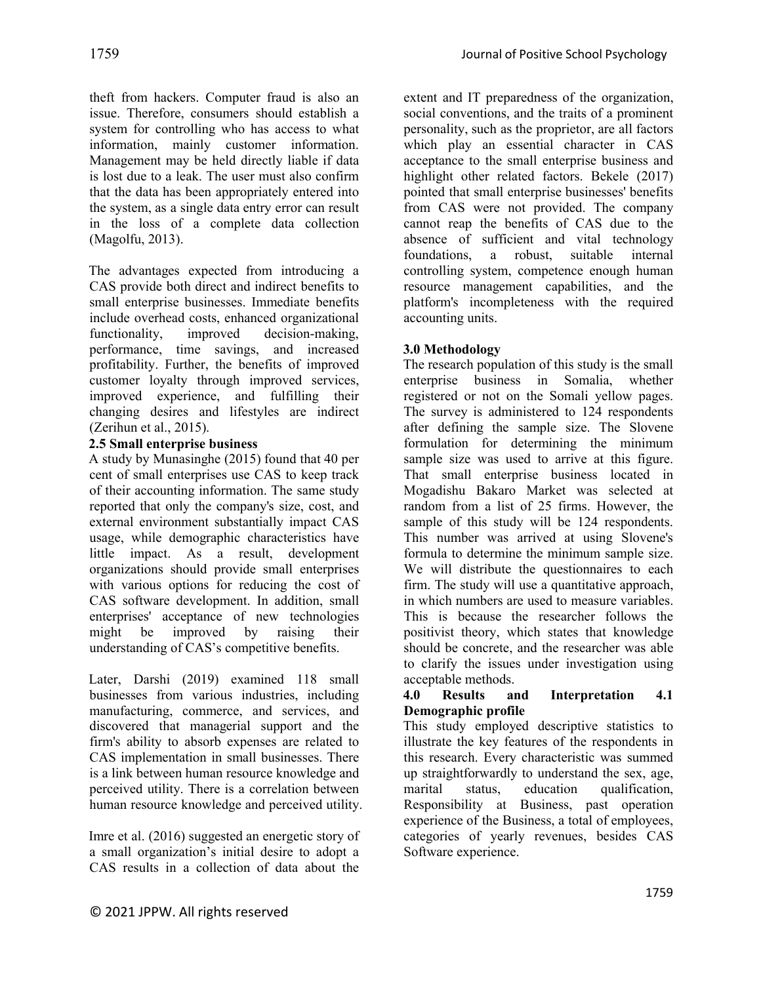theft from hackers. Computer fraud is also an issue. Therefore, consumers should establish a system for controlling who has access to what information, mainly customer information. Management may be held directly liable if data is lost due to a leak. The user must also confirm that the data has been appropriately entered into the system, as a single data entry error can result in the loss of a complete data collection (Magolfu, 2013).

The advantages expected from introducing a CAS provide both direct and indirect benefits to small enterprise businesses. Immediate benefits include overhead costs, enhanced organizational functionality, improved decision-making, performance, time savings, and increased profitability. Further, the benefits of improved customer loyalty through improved services, improved experience, and fulfilling their changing desires and lifestyles are indirect (Zerihun et al., 2015).

### **2.5 Small enterprise business**

A study by Munasinghe (2015) found that 40 per cent of small enterprises use CAS to keep track of their accounting information. The same study reported that only the company's size, cost, and external environment substantially impact CAS usage, while demographic characteristics have little impact. As a result, development organizations should provide small enterprises with various options for reducing the cost of CAS software development. In addition, small enterprises' acceptance of new technologies might be improved by raising their understanding of CAS's competitive benefits.

Later, Darshi (2019) examined 118 small businesses from various industries, including manufacturing, commerce, and services, and discovered that managerial support and the firm's ability to absorb expenses are related to CAS implementation in small businesses. There is a link between human resource knowledge and perceived utility. There is a correlation between human resource knowledge and perceived utility.

Imre et al. (2016) suggested an energetic story of a small organization's initial desire to adopt a CAS results in a collection of data about the

1759 Journal of Positive School Psychology

extent and IT preparedness of the organization, social conventions, and the traits of a prominent personality, such as the proprietor, are all factors which play an essential character in CAS acceptance to the small enterprise business and highlight other related factors. Bekele (2017) pointed that small enterprise businesses' benefits from CAS were not provided. The company cannot reap the benefits of CAS due to the absence of sufficient and vital technology foundations, a robust, suitable internal controlling system, competence enough human resource management capabilities, and the platform's incompleteness with the required accounting units.

### **3.0 Methodology**

The research population of this study is the small enterprise business in Somalia, whether registered or not on the Somali yellow pages. The survey is administered to 124 respondents after defining the sample size. The Slovene formulation for determining the minimum sample size was used to arrive at this figure. That small enterprise business located in Mogadishu Bakaro Market was selected at random from a list of 25 firms. However, the sample of this study will be 124 respondents. This number was arrived at using Slovene's formula to determine the minimum sample size. We will distribute the questionnaires to each firm. The study will use a quantitative approach, in which numbers are used to measure variables. This is because the researcher follows the positivist theory, which states that knowledge should be concrete, and the researcher was able to clarify the issues under investigation using acceptable methods.

### **4.0 Results and Interpretation 4.1 Demographic profile**

This study employed descriptive statistics to illustrate the key features of the respondents in this research. Every characteristic was summed up straightforwardly to understand the sex, age, marital status, education qualification, Responsibility at Business, past operation experience of the Business, a total of employees, categories of yearly revenues, besides CAS Software experience.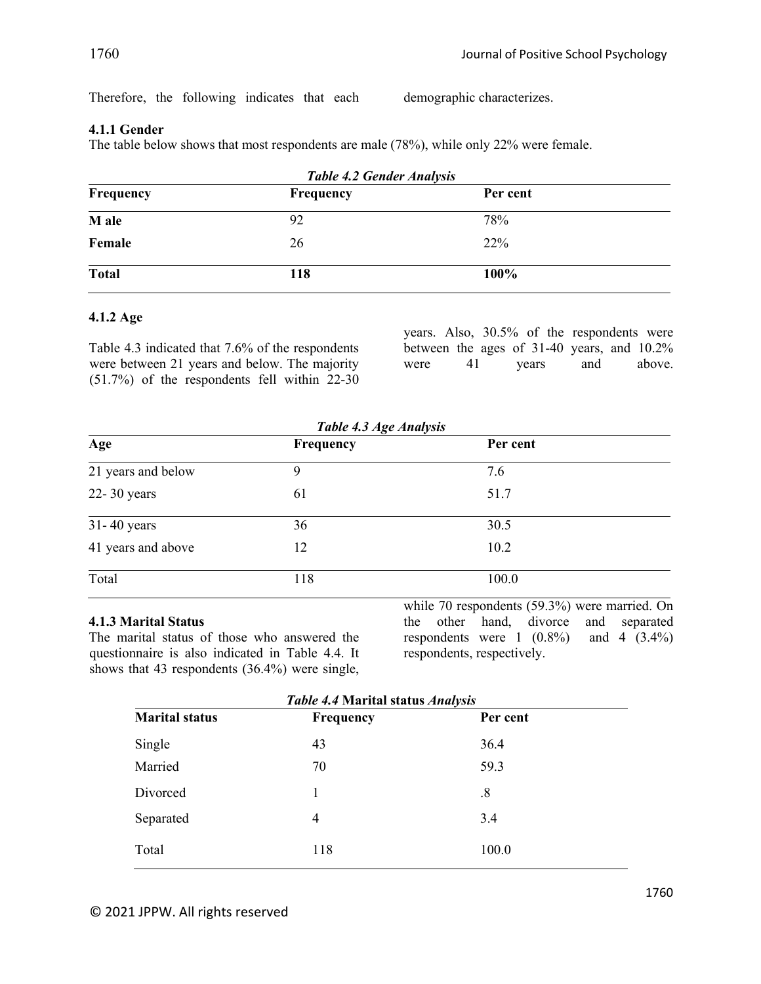Therefore, the following indicates that each demographic characterizes.

## **4.1.1 Gender**

The table below shows that most respondents are male (78%), while only 22% were female.

| <b>Table 4.2 Gender Analysis</b> |          |
|----------------------------------|----------|
| Frequency                        | Per cent |
| 92                               | 78%      |
| 26                               | 22%      |
| 118                              | 100%     |
|                                  |          |

### **4.1.2 Age**

Table 4.3 indicated that 7.6% of the respondents were between 21 years and below. The majority (51.7%) of the respondents fell within 22-30 years. Also, 30.5% of the respondents were between the ages of 31-40 years, and 10.2%<br>were 41 years and above. were  $41$  years and

|                    | Table 4.3 Age Analysis |          |  |
|--------------------|------------------------|----------|--|
| Age                | Frequency              | Per cent |  |
| 21 years and below | 9                      | 7.6      |  |
| $22 - 30$ years    | 61                     | 51.7     |  |
| $31 - 40$ years    | 36                     | 30.5     |  |
| 41 years and above | 12                     | 10.2     |  |
| Total              | 118                    | 100.0    |  |

### **4.1.3 Marital Status**

The marital status of those who answered the questionnaire is also indicated in Table 4.4. It shows that 43 respondents (36.4%) were single, while 70 respondents (59.3%) were married. On the other hand, divorce and separated respondents were 1  $(0.8\%)$  and 4  $(3.4\%)$ respondents, respectively.

|                       | <b>Table 4.4 Marital status Analysis</b> |          |
|-----------------------|------------------------------------------|----------|
| <b>Marital status</b> | Frequency                                | Per cent |
| Single                | 43                                       | 36.4     |
| Married               | 70                                       | 59.3     |
| Divorced              | 1                                        | .8       |
| Separated             | 4                                        | 3.4      |
| Total                 | 118                                      | 100.0    |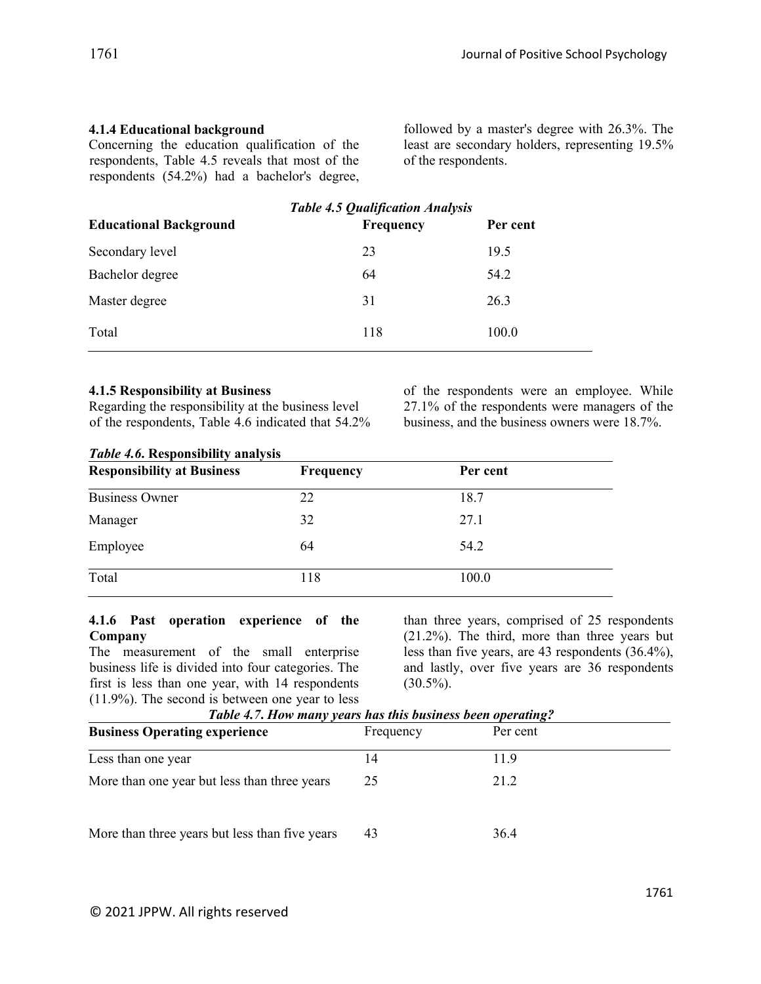## **4.1.4 Educational background**

Concerning the education qualification of the respondents, Table 4.5 reveals that most of the respondents (54.2%) had a bachelor's degree, followed by a master's degree with 26.3%. The least are secondary holders, representing 19.5% of the respondents.

| <b>Educational Background</b> | <b>Table 4.5 Qualification Analysis</b><br><b>Frequency</b> | Per cent |
|-------------------------------|-------------------------------------------------------------|----------|
| Secondary level               | 23                                                          | 19.5     |
| Bachelor degree               | 64                                                          | 54.2     |
| Master degree                 | 31                                                          | 26.3     |
| Total                         | 118                                                         | 100.0    |

### **4.1.5 Responsibility at Business**

Regarding the responsibility at the business level of the respondents, Table 4.6 indicated that 54.2% of the respondents were an employee. While 27.1% of the respondents were managers of the business, and the business owners were 18.7%.

### *Table 4.6***. Responsibility analysis**

| <b>Responsibility at Business</b> | <b>Frequency</b> | Per cent |  |
|-----------------------------------|------------------|----------|--|
| <b>Business Owner</b>             | 22               | 18.7     |  |
| Manager                           | 32               | 27.1     |  |
| Employee                          | 64               | 54.2     |  |
| Total                             | 118              | 100.0    |  |

### **4.1.6 Past operation experience of the Company**

The measurement of the small enterprise business life is divided into four categories. The first is less than one year, with 14 respondents (11.9%). The second is between one year to less than three years, comprised of 25 respondents (21.2%). The third, more than three years but less than five years, are 43 respondents (36.4%), and lastly, over five years are 36 respondents  $(30.5\%)$ .

| Table 4.7, How many years has this business been operating? |           |          |  |
|-------------------------------------------------------------|-----------|----------|--|
| <b>Business Operating experience</b>                        | Frequency | Per cent |  |
| Less than one year                                          | 14        | 11.9     |  |
| More than one year but less than three years                | 25        | 21.2     |  |
| More than three years but less than five years              | 43        | 36.4     |  |

*Table 4.7***.** *How many years has this business been operating?*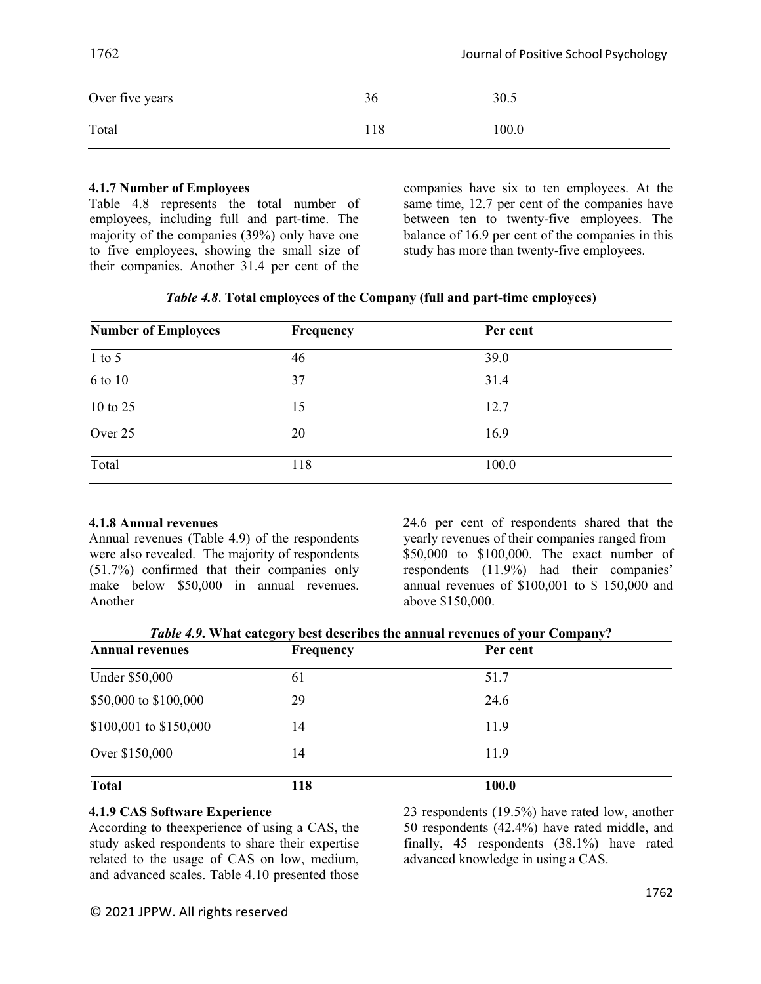| Over five years | 36  | 30.5  |
|-----------------|-----|-------|
| Total           | 118 | 100.0 |

#### **4.1.7 Number of Employees**

Table 4.8 represents the total number of employees, including full and part-time. The majority of the companies (39%) only have one to five employees, showing the small size of their companies. Another 31.4 per cent of the

companies have six to ten employees. At the same time, 12.7 per cent of the companies have between ten to twenty-five employees. The balance of 16.9 per cent of the companies in this study has more than twenty-five employees.

|  |  | Table 4.8. Total employees of the Company (full and part-time employees) |  |
|--|--|--------------------------------------------------------------------------|--|
|  |  |                                                                          |  |

| <b>Number of Employees</b> | Frequency | Per cent |  |
|----------------------------|-----------|----------|--|
| $1$ to 5                   | 46        | 39.0     |  |
| 6 to 10                    | 37        | 31.4     |  |
| 10 to 25                   | 15        | 12.7     |  |
| Over 25                    | 20        | 16.9     |  |
| Total                      | 118       | 100.0    |  |

### **4.1.8 Annual revenues**

Annual revenues (Table 4.9) of the respondents were also revealed. The majority of respondents (51.7%) confirmed that their companies only make below \$50,000 in annual revenues. Another

24.6 per cent of respondents shared that the yearly revenues of their companies ranged from \$50,000 to \$100,000. The exact number of respondents (11.9%) had their companies' annual revenues of \$100,001 to \$ 150,000 and above \$150,000.

*Table 4.9***. What category best describes the annual revenues of your Company?**

| <b>Annual revenues</b> | $\overline{ }$<br><b>Frequency</b> | Per cent |  |
|------------------------|------------------------------------|----------|--|
| Under \$50,000         | 61                                 | 51.7     |  |
| \$50,000 to \$100,000  | 29                                 | 24.6     |  |
| \$100,001 to \$150,000 | 14                                 | 11.9     |  |
| Over \$150,000         | 14                                 | 11.9     |  |
| <b>Total</b>           | 118                                | 100.0    |  |

### **4.1.9 CAS Software Experience**

According to theexperience of using a CAS, the study asked respondents to share their expertise related to the usage of CAS on low, medium, and advanced scales. Table 4.10 presented those 23 respondents (19.5%) have rated low, another 50 respondents (42.4%) have rated middle, and finally, 45 respondents (38.1%) have rated advanced knowledge in using a CAS.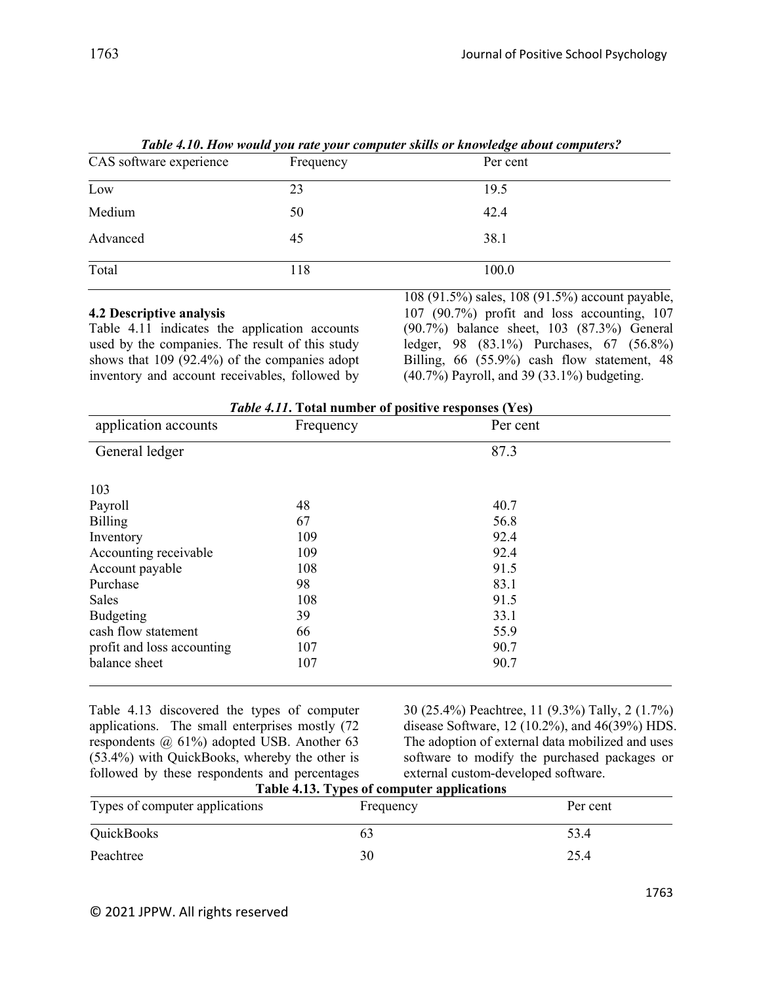|                         |           | Table 4.10. How would you rate your computer skills or knowledge about computers? |
|-------------------------|-----------|-----------------------------------------------------------------------------------|
| CAS software experience | Frequency | Per cent                                                                          |
| Low                     | 23        | 19.5                                                                              |
| Medium                  | 50        | 42.4                                                                              |
| Advanced                | 45        | 38.1                                                                              |
| Total                   | 118       | 100.0                                                                             |

| Table 4.10. How would you rate your computer skills or knowledge about computers? |
|-----------------------------------------------------------------------------------|
|-----------------------------------------------------------------------------------|

### **4.2 Descriptive analysis**

Table 4.11 indicates the application accounts used by the companies. The result of this study shows that 109 (92.4%) of the companies adopt inventory and account receivables, followed by

108 (91.5%) sales, 108 (91.5%) account payable, 107 (90.7%) profit and loss accounting, 107 (90.7%) balance sheet, 103 (87.3%) General ledger, 98 (83.1%) Purchases, 67 (56.8%) Billing, 66 (55.9%) cash flow statement, 48 (40.7%) Payroll, and 39 (33.1%) budgeting.

| <i>Table 4.11.</i> Total number of positive responses (Yes) |           |          |  |
|-------------------------------------------------------------|-----------|----------|--|
| application accounts                                        | Frequency | Per cent |  |
| General ledger                                              |           | 87.3     |  |
| 103                                                         |           |          |  |
| Payroll                                                     | 48        | 40.7     |  |
| <b>Billing</b>                                              | 67        | 56.8     |  |
| Inventory                                                   | 109       | 92.4     |  |
| Accounting receivable                                       | 109       | 92.4     |  |
| Account payable                                             | 108       | 91.5     |  |
| Purchase                                                    | 98        | 83.1     |  |
| Sales                                                       | 108       | 91.5     |  |
| Budgeting                                                   | 39        | 33.1     |  |
| cash flow statement                                         | 66        | 55.9     |  |
| profit and loss accounting                                  | 107       | 90.7     |  |
| balance sheet                                               | 107       | 90.7     |  |

*Table 4.11***. Total number of positive responses (Yes)**

Table 4.13 discovered the types of computer applications. The small enterprises mostly (72 respondents @ 61%) adopted USB. Another 63 (53.4%) with QuickBooks, whereby the other is followed by these respondents and percentages  $T<sub>ab</sub>$ <sub>b</sub>  $\frac{1}{4}$  12. Ty

30 (25.4%) Peachtree, 11 (9.3%) Tally, 2 (1.7%) disease Software, 12 (10.2%), and 46(39%) HDS. The adoption of external data mobilized and uses software to modify the purchased packages or external custom-developed software.

| Types of computer applications | Table 4.13. Types of computer applications<br>Frequency | Per cent |
|--------------------------------|---------------------------------------------------------|----------|
| QuickBooks                     |                                                         | 53.4     |
| Peachtree                      | 30                                                      | 25.4     |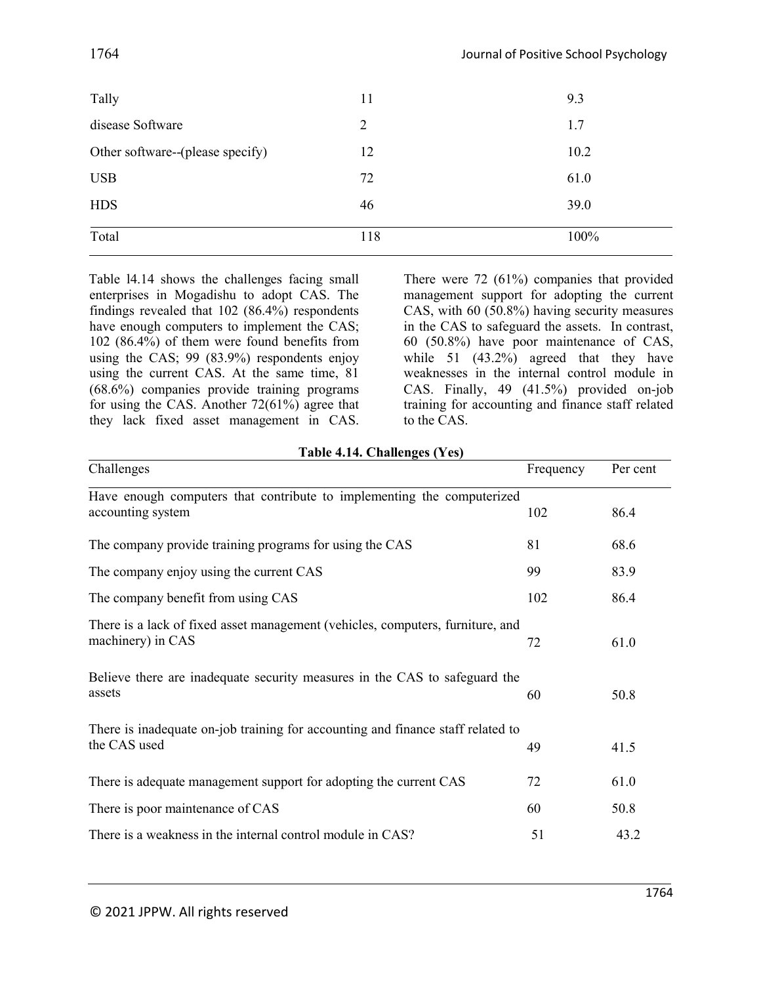| Tally                            | 11  | 9.3  |
|----------------------------------|-----|------|
| disease Software                 | 2   | 1.7  |
| Other software--(please specify) | 12  | 10.2 |
| <b>USB</b>                       | 72  | 61.0 |
| <b>HDS</b>                       | 46  | 39.0 |
| Total                            | 118 | 100% |

Table l4.14 shows the challenges facing small enterprises in Mogadishu to adopt CAS. The findings revealed that 102 (86.4%) respondents have enough computers to implement the CAS; 102 (86.4%) of them were found benefits from using the CAS; 99 (83.9%) respondents enjoy using the current CAS. At the same time, 81 (68.6%) companies provide training programs for using the CAS. Another 72(61%) agree that they lack fixed asset management in CAS.

There were 72 (61%) companies that provided management support for adopting the current CAS, with 60 (50.8%) having security measures in the CAS to safeguard the assets. In contrast, 60 (50.8%) have poor maintenance of CAS, while 51 (43.2%) agreed that they have weaknesses in the internal control module in CAS. Finally, 49 (41.5%) provided on-job training for accounting and finance staff related to the CAS.

| $1$ apic $\pi$ . $1$ . Chancing $\sigma$ (1 cs)                                                     |           |          |  |
|-----------------------------------------------------------------------------------------------------|-----------|----------|--|
| Challenges                                                                                          | Frequency | Per cent |  |
| Have enough computers that contribute to implementing the computerized<br>accounting system         | 102       | 86.4     |  |
| The company provide training programs for using the CAS                                             | 81        | 68.6     |  |
| The company enjoy using the current CAS                                                             | 99        | 83.9     |  |
| The company benefit from using CAS                                                                  | 102       | 86.4     |  |
| There is a lack of fixed asset management (vehicles, computers, furniture, and<br>machinery) in CAS | 72        | 61.0     |  |
| Believe there are inadequate security measures in the CAS to safeguard the<br>assets                | 60        | 50.8     |  |
| There is inadequate on-job training for accounting and finance staff related to<br>the CAS used     | 49        | 41.5     |  |
| There is adequate management support for adopting the current CAS                                   | 72        | 61.0     |  |
| There is poor maintenance of CAS                                                                    | 60        | 50.8     |  |
| There is a weakness in the internal control module in CAS?                                          | 51        | 43.2     |  |

**Table 4.14. Challenges (Yes)**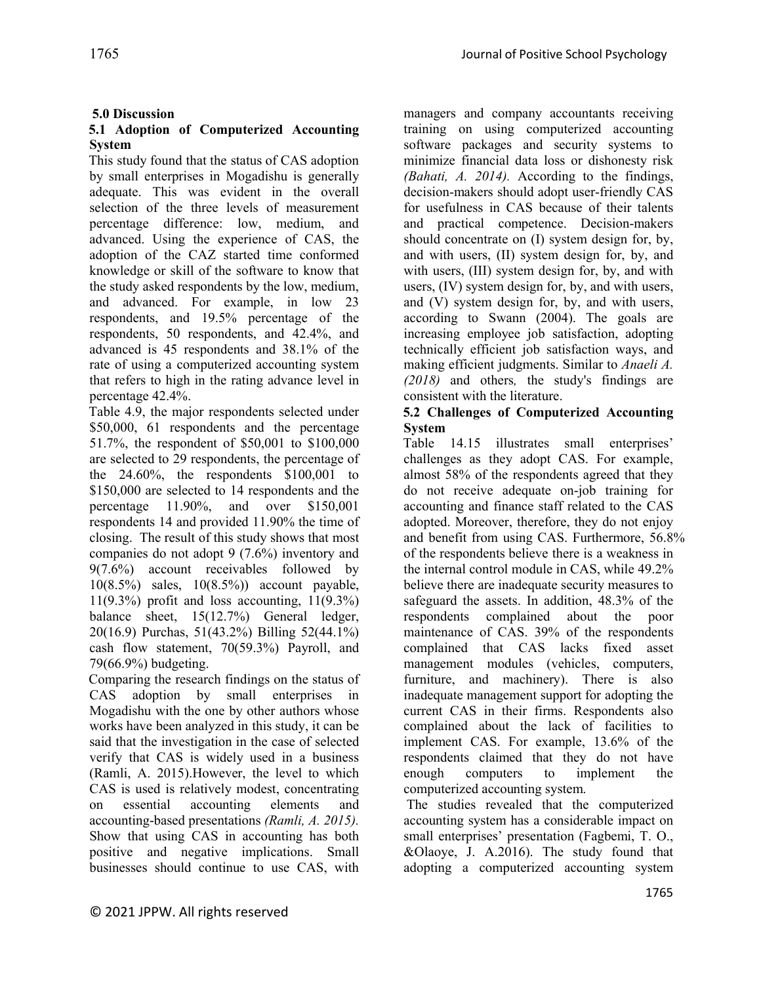## **5.0 Discussion**

### **5.1 Adoption of Computerized Accounting System**

This study found that the status of CAS adoption by small enterprises in Mogadishu is generally adequate. This was evident in the overall selection of the three levels of measurement percentage difference: low, medium, and advanced. Using the experience of CAS, the adoption of the CAZ started time conformed knowledge or skill of the software to know that the study asked respondents by the low, medium, and advanced. For example, in low 23 respondents, and 19.5% percentage of the respondents, 50 respondents, and 42.4%, and advanced is 45 respondents and 38.1% of the rate of using a computerized accounting system that refers to high in the rating advance level in percentage 42.4%.

Table 4.9, the major respondents selected under \$50,000, 61 respondents and the percentage 51.7%, the respondent of \$50,001 to \$100,000 are selected to 29 respondents, the percentage of the 24.60%, the respondents \$100,001 to \$150,000 are selected to 14 respondents and the percentage 11.90%, and over \$150,001 respondents 14 and provided 11.90% the time of closing. The result of this study shows that most companies do not adopt 9 (7.6%) inventory and 9(7.6%) account receivables followed by 10(8.5%) sales, 10(8.5%)) account payable, 11(9.3%) profit and loss accounting, 11(9.3%) balance sheet, 15(12.7%) General ledger, 20(16.9) Purchas, 51(43.2%) Billing 52(44.1%) cash flow statement, 70(59.3%) Payroll, and 79(66.9%) budgeting.

Comparing the research findings on the status of CAS adoption by small enterprises in Mogadishu with the one by other authors whose works have been analyzed in this study, it can be said that the investigation in the case of selected verify that CAS is widely used in a business (Ramli, A. 2015).However, the level to which CAS is used is relatively modest, concentrating on essential accounting elements and accounting-based presentations *(Ramli, A. 2015).* Show that using CAS in accounting has both positive and negative implications. Small businesses should continue to use CAS, with

managers and company accountants receiving training on using computerized accounting software packages and security systems to minimize financial data loss or dishonesty risk *(Bahati, A. 2014).* According to the findings, decision-makers should adopt user-friendly CAS for usefulness in CAS because of their talents and practical competence. Decision-makers should concentrate on (I) system design for, by, and with users, (II) system design for, by, and with users, (III) system design for, by, and with users, (IV) system design for, by, and with users, and (V) system design for, by, and with users, according to Swann (2004). The goals are increasing employee job satisfaction, adopting technically efficient job satisfaction ways, and making efficient judgments. Similar to *Anaeli A. (2018)* and others*,* the study's findings are consistent with the literature.

### **5.2 Challenges of Computerized Accounting System**

Table 14.15 illustrates small enterprises' challenges as they adopt CAS. For example, almost 58% of the respondents agreed that they do not receive adequate on-job training for accounting and finance staff related to the CAS adopted. Moreover, therefore, they do not enjoy and benefit from using CAS. Furthermore, 56.8% of the respondents believe there is a weakness in the internal control module in CAS, while 49.2% believe there are inadequate security measures to safeguard the assets. In addition, 48.3% of the respondents complained about the poor maintenance of CAS. 39% of the respondents complained that CAS lacks fixed asset management modules (vehicles, computers, furniture, and machinery). There is also inadequate management support for adopting the current CAS in their firms. Respondents also complained about the lack of facilities to implement CAS. For example, 13.6% of the respondents claimed that they do not have enough computers to implement the computerized accounting system.

The studies revealed that the computerized accounting system has a considerable impact on small enterprises' presentation (Fagbemi, T. O., &Olaoye, J. A.2016). The study found that adopting a computerized accounting system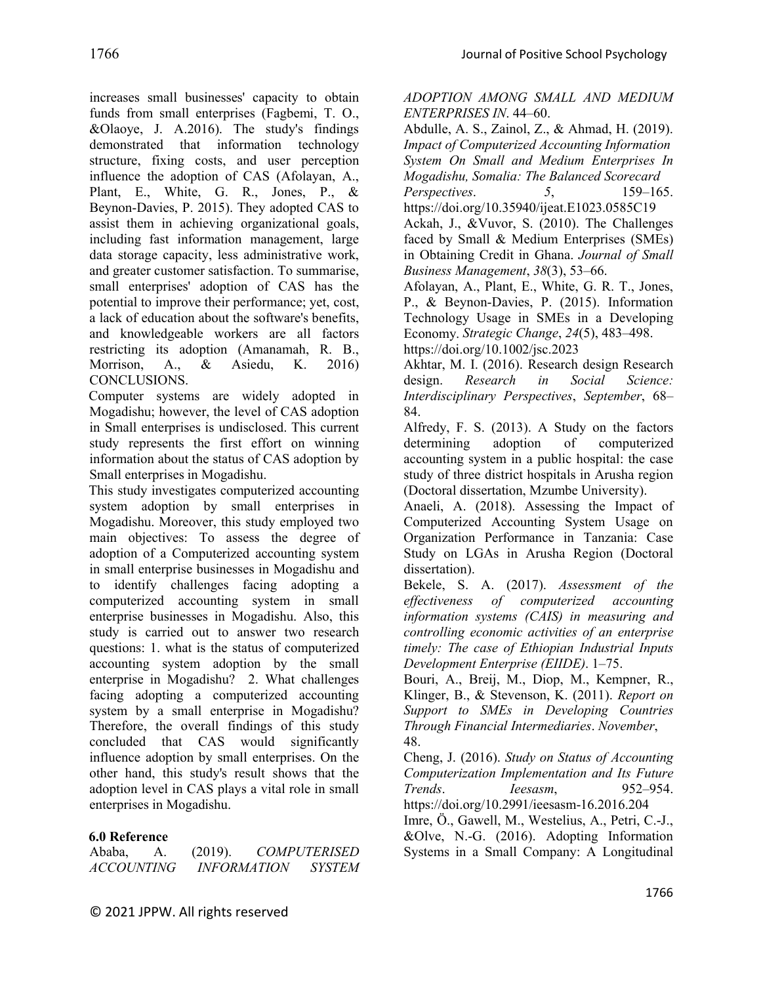increases small businesses' capacity to obtain funds from small enterprises (Fagbemi, T. O., &Olaoye, J. A.2016). The study's findings demonstrated that information technology structure, fixing costs, and user perception influence the adoption of CAS (Afolayan, A., Plant, E., White, G. R., Jones, P., & Beynon‐Davies, P. 2015). They adopted CAS to assist them in achieving organizational goals, including fast information management, large data storage capacity, less administrative work, and greater customer satisfaction. To summarise, small enterprises' adoption of CAS has the potential to improve their performance; yet, cost, a lack of education about the software's benefits, and knowledgeable workers are all factors restricting its adoption (Amanamah, R. B., Morrison, A., & Asiedu, K. 2016) CONCLUSIONS.

Computer systems are widely adopted in Mogadishu; however, the level of CAS adoption in Small enterprises is undisclosed. This current study represents the first effort on winning information about the status of CAS adoption by Small enterprises in Mogadishu.

This study investigates computerized accounting system adoption by small enterprises in Mogadishu. Moreover, this study employed two main objectives: To assess the degree of adoption of a Computerized accounting system in small enterprise businesses in Mogadishu and to identify challenges facing adopting a computerized accounting system in small enterprise businesses in Mogadishu. Also, this study is carried out to answer two research questions: 1. what is the status of computerized accounting system adoption by the small enterprise in Mogadishu? 2. What challenges facing adopting a computerized accounting system by a small enterprise in Mogadishu? Therefore, the overall findings of this study concluded that CAS would significantly influence adoption by small enterprises. On the other hand, this study's result shows that the adoption level in CAS plays a vital role in small enterprises in Mogadishu.

## **6.0 Reference**

| Ababa,            | (2019).            | <b>COMPUTERISED</b> |
|-------------------|--------------------|---------------------|
| <i>ACCOUNTING</i> | <b>INFORMATION</b> | <b>SYSTEM</b>       |

*ADOPTION AMONG SMALL AND MEDIUM ENTERPRISES IN*. 44–60.

Abdulle, A. S., Zainol, Z., & Ahmad, H. (2019). *Impact of Computerized Accounting Information System On Small and Medium Enterprises In Mogadishu, Somalia: The Balanced Scorecard Perspectives*. *5*, 159–165.

https://doi.org/10.35940/ijeat.E1023.0585C19 Ackah, J., &Vuvor, S. (2010). The Challenges faced by Small & Medium Enterprises (SMEs) in Obtaining Credit in Ghana. *Journal of Small Business Management*, *38*(3), 53–66.

Afolayan, A., Plant, E., White, G. R. T., Jones, P., & Beynon-Davies, P. (2015). Information Technology Usage in SMEs in a Developing Economy. *Strategic Change*, *24*(5), 483–498. https://doi.org/10.1002/jsc.2023

Akhtar, M. I. (2016). Research design Research design. *Research in Social Science: Interdisciplinary Perspectives*, *September*, 68– 84.

Alfredy, F. S. (2013). A Study on the factors determining adoption of computerized accounting system in a public hospital: the case study of three district hospitals in Arusha region (Doctoral dissertation, Mzumbe University).

Anaeli, A. (2018). Assessing the Impact of Computerized Accounting System Usage on Organization Performance in Tanzania: Case Study on LGAs in Arusha Region (Doctoral dissertation).

Bekele, S. A. (2017). *Assessment of the effectiveness of computerized accounting information systems (CAIS) in measuring and controlling economic activities of an enterprise timely: The case of Ethiopian Industrial Inputs Development Enterprise (EIIDE)*. 1–75.

Bouri, A., Breij, M., Diop, M., Kempner, R., Klinger, B., & Stevenson, K. (2011). *Report on Support to SMEs in Developing Countries Through Financial Intermediaries*. *November*, 48.

Cheng, J. (2016). *Study on Status of Accounting Computerization Implementation and Its Future Trends*. *Ieesasm*, 952–954. https://doi.org/10.2991/ieesasm-16.2016.204

Imre, Ö., Gawell, M., Westelius, A., Petri, C.-J., &Olve, N.-G. (2016). Adopting Information Systems in a Small Company: A Longitudinal